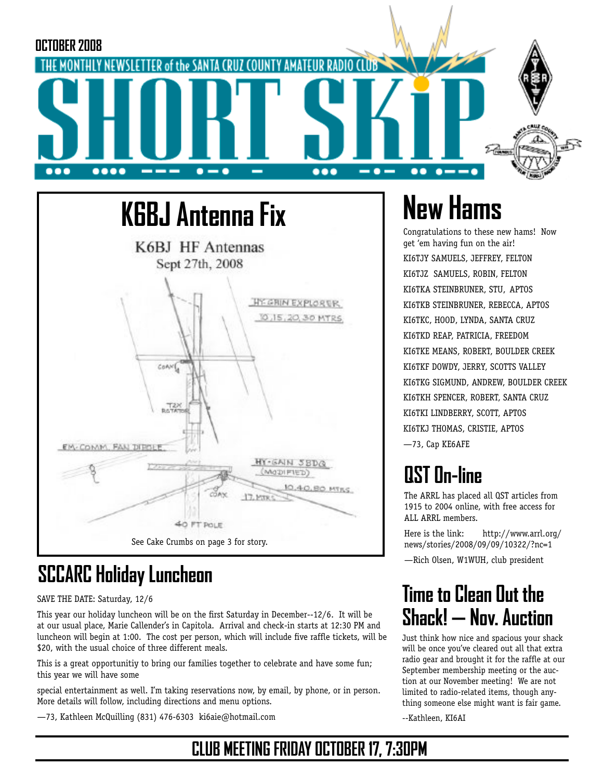



## **SCCARC Holiday Luncheon**

SAVE THE DATE: Saturday, 12/6

This year our holiday luncheon will be on the first Saturday in December--12/6. It will be at our usual place, Marie Callender's in Capitola. Arrival and check-in starts at 12:30 PM and luncheon will begin at 1:00. The cost per person, which will include five raffle tickets, will be \$20, with the usual choice of three different meals.

This is a great opportunitiy to bring our families together to celebrate and have some fun; this year we will have some

special entertainment as well. I'm taking reservations now, by email, by phone, or in person. More details will follow, including directions and menu options.

—73, Kathleen McQuilling (831) 476-6303 ki6aie@hotmail.com

# **New Hams**

Congratulations to these new hams! Now get 'em having fun on the air! KI6TJY SAMUELS, JEFFREY, FELTON KI6TJZ SAMUELS, ROBIN, FELTON KI6TKA STEINBRUNER, STU, APTOS KI6TKB STEINBRUNER, REBECCA, APTOS KI6TKC, HOOD, LYNDA, SANTA CRUZ KI6TKD REAP, PATRICIA, FREEDOM KI6TKE MEANS, ROBERT, BOULDER CREEK KI6TKF DOWDY, JERRY, SCOTTS VALLEY KI6TKG SIGMUND, ANDREW, BOULDER CREEK KI6TKH SPENCER, ROBERT, SANTA CRUZ KI6TKI LINDBERRY, SCOTT, APTOS KI6TKJ THOMAS, CRISTIE, APTOS —73, Cap KE6AFE

# **QST On-line**

The ARRL has placed all QST articles from 1915 to 2004 online, with free access for ALL ARRL members.

Here is the link: http://www.arrl.org/ news/stories/2008/09/09/10322/?nc=1

—Rich Olsen, W1WUH, club president

### **Time to Clean Out the Shack! — Nov. Auction**

Just think how nice and spacious your shack will be once you've cleared out all that extra radio gear and brought it for the raffle at our September membership meeting or the auction at our November meeting! We are not limited to radio-related items, though anything someone else might want is fair game.

--Kathleen, KI6AI

### **CLUB MEETING FRIDAY OCTOBER 17, 7:30PM**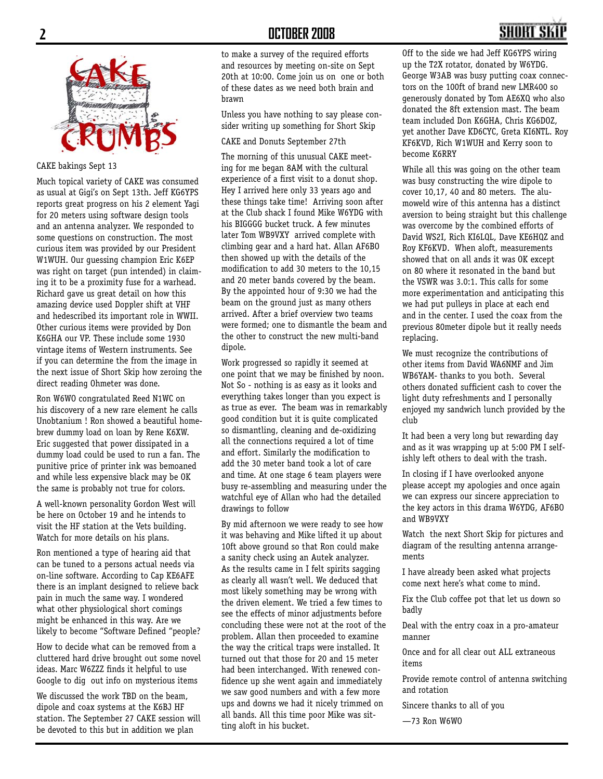#### **2 OCTOBER 2008**



#### CAKE bakings Sept 13

Much topical variety of CAKE was consumed as usual at Gigi's on Sept 13th. Jeff KG6YPS reports great progress on his 2 element Yagi for 20 meters using software design tools and an antenna analyzer. We responded to some questions on construction. The most curious item was provided by our President W1WUH. Our guessing champion Eric K6EP was right on target (pun intended) in claiming it to be a proximity fuse for a warhead. Richard gave us great detail on how this amazing device used Doppler shift at VHF and hedescribed its important role in WWII. Other curious items were provided by Don K6GHA our VP. These include some 1930 vintage items of Western instruments. See if you can determine the from the image in the next issue of Short Skip how zeroing the direct reading Ohmeter was done.

Ron W6WO congratulated Reed N1WC on his discovery of a new rare element he calls Unobtanium ! Ron showed a beautiful homebrew dummy load on loan by Rene K6XW. Eric suggested that power dissipated in a dummy load could be used to run a fan. The punitive price of printer ink was bemoaned and while less expensive black may be OK the same is probably not true for colors.

A well-known personality Gordon West will be here on October 19 and he intends to visit the HF station at the Vets building. Watch for more details on his plans.

Ron mentioned a type of hearing aid that can be tuned to a persons actual needs via on-line software. According to Cap KE6AFE there is an implant designed to relieve back pain in much the same way. I wondered what other physiological short comings might be enhanced in this way. Are we likely to become "Software Defined "people?

How to decide what can be removed from a cluttered hard drive brought out some novel ideas. Marc W6ZZZ finds it helpful to use Google to dig out info on mysterious items

We discussed the work TBD on the beam, dipole and coax systems at the K6BJ HF station. The September 27 CAKE session will be devoted to this but in addition we plan

to make a survey of the required efforts and resources by meeting on-site on Sept 20th at 10:00. Come join us on one or both of these dates as we need both brain and brawn

Unless you have nothing to say please consider writing up something for Short Skip

CAKE and Donuts September 27th

The morning of this unusual CAKE meeting for me began 8AM with the cultural experience of a first visit to a donut shop. Hey I arrived here only 33 years ago and these things take time! Arriving soon after at the Club shack I found Mike W6YDG with his BIGGGG bucket truck. A few minutes later Tom WB9VXY arrived complete with climbing gear and a hard hat. Allan AF6BO then showed up with the details of the modification to add 30 meters to the 10,15 and 20 meter bands covered by the beam. By the appointed hour of 9:30 we had the beam on the ground just as many others arrived. After a brief overview two teams were formed; one to dismantle the beam and the other to construct the new multi-band dipole.

Work progressed so rapidly it seemed at one point that we may be finished by noon. Not So - nothing is as easy as it looks and everything takes longer than you expect is as true as ever. The beam was in remarkably good condition but it is quite complicated so dismantling, cleaning and de-oxidizing all the connections required a lot of time and effort. Similarly the modification to add the 30 meter band took a lot of care and time. At one stage 6 team players were busy re-assembling and measuring under the watchful eye of Allan who had the detailed drawings to follow

By mid afternoon we were ready to see how it was behaving and Mike lifted it up about 10ft above ground so that Ron could make a sanity check using an Autek analyzer. As the results came in I felt spirits sagging as clearly all wasn't well. We deduced that most likely something may be wrong with the driven element. We tried a few times to see the effects of minor adjustments before concluding these were not at the root of the problem. Allan then proceeded to examine the way the critical traps were installed. It turned out that those for 20 and 15 meter had been interchanged. With renewed confidence up she went again and immediately we saw good numbers and with a few more ups and downs we had it nicely trimmed on all bands. All this time poor Mike was sitting aloft in his bucket.

Off to the side we had Jeff KG6YPS wiring up the T2X rotator, donated by W6YDG. George W3AB was busy putting coax connectors on the 100ft of brand new LMR400 so generously donated by Tom AE6XQ who also donated the 8ft extension mast. The beam team included Don K6GHA, Chris KG6DOZ, yet another Dave KD6CYC, Greta KI6NTL. Roy KF6KVD, Rich W1WUH and Kerry soon to become K6RRY

While all this was going on the other team was busy constructing the wire dipole to cover 10,17, 40 and 80 meters. The alumoweld wire of this antenna has a distinct aversion to being straight but this challenge was overcome by the combined efforts of David WS2I, Rich KI6LQL, Dave KE6HQZ and Roy KF6KVD. When aloft, measurements showed that on all ands it was OK except on 80 where it resonated in the band but the VSWR was 3.0:1. This calls for some more experimentation and anticipating this we had put pulleys in place at each end and in the center. I used the coax from the previous 80meter dipole but it really needs replacing.

We must recognize the contributions of other items from David WA6NMF and Jim WB6YAM- thanks to you both. Several others donated sufficient cash to cover the light duty refreshments and I personally enjoyed my sandwich lunch provided by the club

It had been a very long but rewarding day and as it was wrapping up at 5:00 PM I selfishly left others to deal with the trash.

In closing if I have overlooked anyone please accept my apologies and once again we can express our sincere appreciation to the key actors in this drama W6YDG, AF6BO and WB9VXY

Watch the next Short Skip for pictures and diagram of the resulting antenna arrangements

I have already been asked what projects come next here's what come to mind.

Fix the Club coffee pot that let us down so badly

Deal with the entry coax in a pro-amateur manner

Once and for all clear out ALL extraneous items

Provide remote control of antenna switching and rotation

Sincere thanks to all of you

—73 Ron W6WO

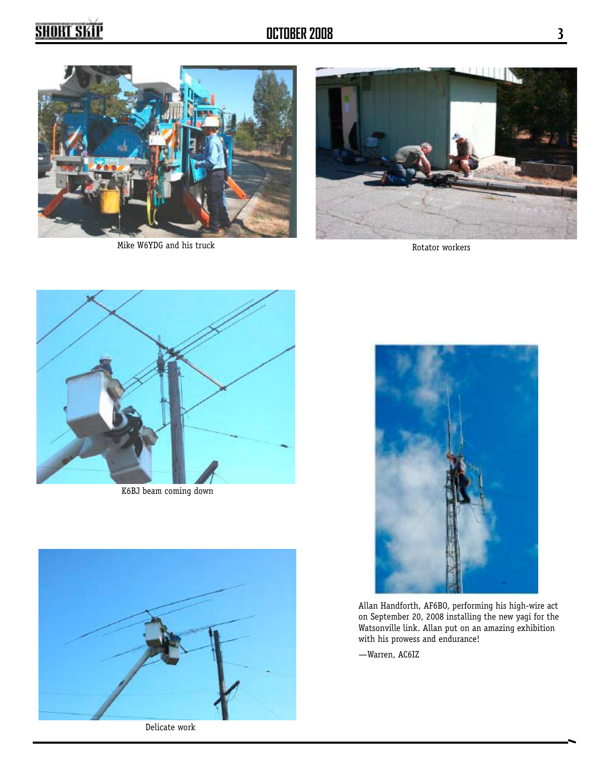

Mike W6YDG and his truck



Rotator workers



K6BJ beam coming down



Delicate work



Allan Handforth, AF6BO, performing his high-wire act on September 20, 2008 installing the new yagi for the Watsonville link. Allan put on an amazing exhibition with his prowess and endurance!

—Warren, AC6IZ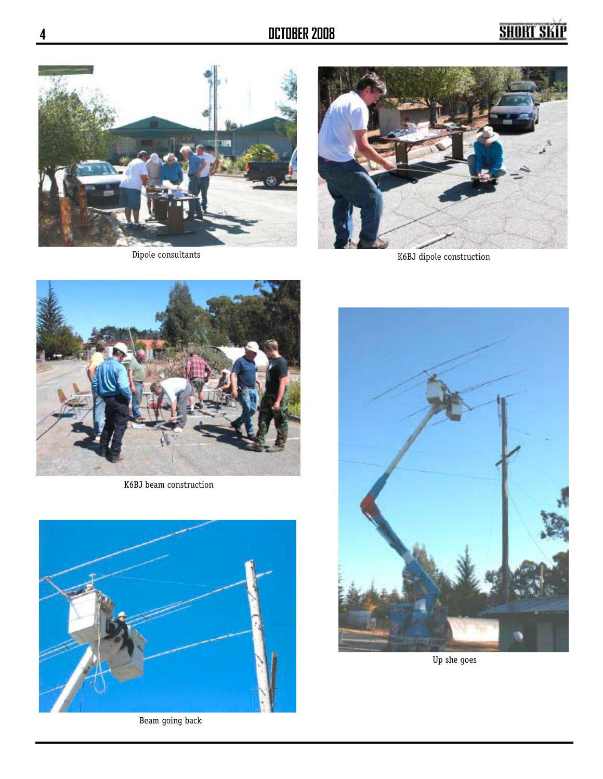



Dipole consultants K6BJ dipole construction



K6BJ beam construction



Beam going back



Up she goes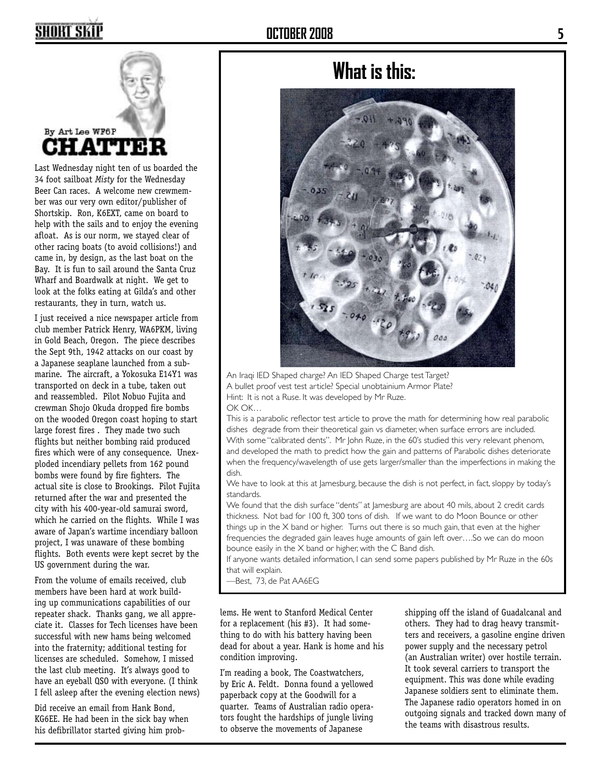### SHORT SKI



By Art Lee WF6P CHATTE)

Last Wednesday night ten of us boarded the 34 foot sailboat *Misty* for the Wednesday Beer Can races. A welcome new crewmember was our very own editor/publisher of Shortskip. Ron, K6EXT, came on board to help with the sails and to enjoy the evening afloat. As is our norm, we stayed clear of other racing boats (to avoid collisions!) and came in, by design, as the last boat on the Bay. It is fun to sail around the Santa Cruz Wharf and Boardwalk at night. We get to look at the folks eating at Gilda's and other restaurants, they in turn, watch us.

I just received a nice newspaper article from club member Patrick Henry, WA6PKM, living in Gold Beach, Oregon. The piece describes the Sept 9th, 1942 attacks on our coast by a Japanese seaplane launched from a submarine. The aircraft, a Yokosuka E14Y1 was transported on deck in a tube, taken out and reassembled. Pilot Nobuo Fujita and crewman Shojo Okuda dropped fire bombs on the wooded Oregon coast hoping to start large forest fires . They made two such flights but neither bombing raid produced fires which were of any consequence. Unexploded incendiary pellets from 162 pound bombs were found by fire fighters. The actual site is close to Brookings. Pilot Fujita returned after the war and presented the city with his 400-year-old samurai sword, which he carried on the flights. While I was aware of Japan's wartime incendiary balloon project, I was unaware of these bombing flights. Both events were kept secret by the US government during the war.

From the volume of emails received, club members have been hard at work building up communications capabilities of our repeater shack. Thanks gang, we all appreciate it. Classes for Tech licenses have been successful with new hams being welcomed into the fraternity; additional testing for licenses are scheduled. Somehow, I missed the last club meeting. It's always good to have an eyeball QSO with everyone. (I think I fell asleep after the evening election news)

Did receive an email from Hank Bond, KG6EE. He had been in the sick bay when his defibrillator started giving him prob-

### **What is this:**



An Iraqi IED Shaped charge? An IED Shaped Charge test Target? A bullet proof vest test article? Special unobtainium Armor Plate? Hint: It is not a Ruse. It was developed by Mr Ruze. OK OK…

This is a parabolic reflector test article to prove the math for determining how real parabolic dishes degrade from their theoretical gain vs diameter, when surface errors are included. With some "calibrated dents". Mr John Ruze, in the 60's studied this very relevant phenom, and developed the math to predict how the gain and patterns of Parabolic dishes deteriorate when the frequency/wavelength of use gets larger/smaller than the imperfections in making the dish.

We have to look at this at Jamesburg, because the dish is not perfect, in fact, sloppy by today's standards.

We found that the dish surface "dents" at Jamesburg are about 40 mils, about 2 credit cards thickness. Not bad for 100 ft, 300 tons of dish. If we want to do Moon Bounce or other things up in the  $\times$  band or higher. Turns out there is so much gain, that even at the higher frequencies the degraded gain leaves huge amounts of gain left over….So we can do moon bounce easily in the X band or higher, with the C Band dish.

If anyone wants detailed information, I can send some papers published by Mr Ruze in the 60s that will explain.

—Best, 73, de Pat AA6EG

lems. He went to Stanford Medical Center for a replacement (his #3). It had something to do with his battery having been dead for about a year. Hank is home and his condition improving.

I'm reading a book, The Coastwatchers, by Eric A. Feldt. Donna found a yellowed paperback copy at the Goodwill for a quarter. Teams of Australian radio operators fought the hardships of jungle living to observe the movements of Japanese

shipping off the island of Guadalcanal and others. They had to drag heavy transmitters and receivers, a gasoline engine driven power supply and the necessary petrol (an Australian writer) over hostile terrain. It took several carriers to transport the equipment. This was done while evading Japanese soldiers sent to eliminate them. The Japanese radio operators homed in on outgoing signals and tracked down many of the teams with disastrous results.